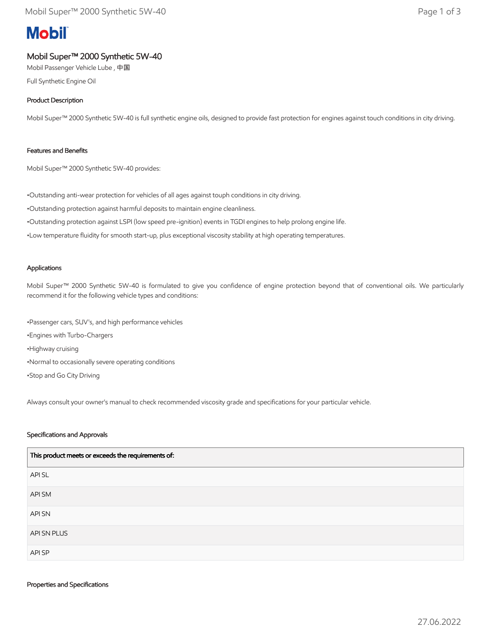# **Mobil**

## Mobil Super™ 2000 Synthetic 5W-40

Mobil Passenger Vehicle Lube , 中国

Full Synthetic Engine Oil

### Product Description

Mobil Super™ 2000 Synthetic 5W-40 is full synthetic engine oils, designed to provide fast protection for engines against touch conditions in city driving.

#### Features and Benefits

Mobil Super™ 2000 Synthetic 5W-40 provides:

•Outstanding anti-wear protection for vehicles of all ages against touph conditions in city driving.

•Outstanding protection against harmful deposits to maintain engine cleanliness.

•Outstanding protection against LSPI (low speed pre-ignition) events in TGDI engines to help prolong engine life.

•Low temperature fluidity for smooth start-up, plus exceptional viscosity stability at high operating temperatures.

#### Applications

Mobil Super™ 2000 Synthetic 5W-40 is formulated to give you confidence of engine protection beyond that of conventional oils. We particularly recommend it for the following vehicle types and conditions:

•Passenger cars, SUV's, and high performance vehicles •Engines with Turbo-Chargers •Highway cruising •Normal to occasionally severe operating conditions •Stop and Go City Driving

Always consult your owner's manual to check recommended viscosity grade and specifications for your particular vehicle.

#### Specifications and Approvals

| This product meets or exceeds the requirements of: |  |
|----------------------------------------------------|--|
| API SL                                             |  |
| API SM                                             |  |
| <b>API SN</b>                                      |  |
| API SN PLUS                                        |  |
| API SP                                             |  |

#### Properties and Specifications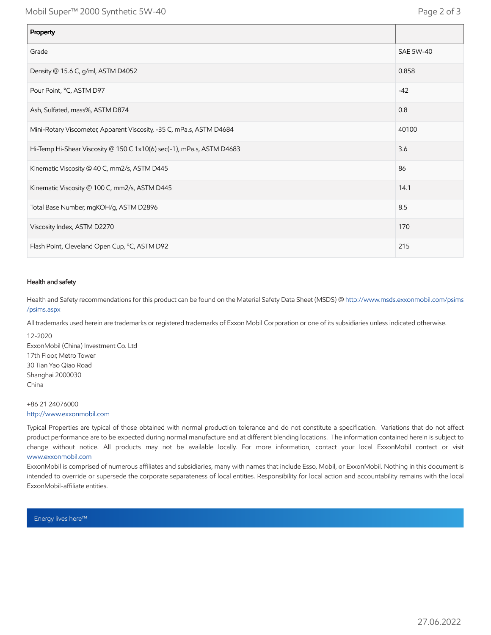| Property                                                              |           |
|-----------------------------------------------------------------------|-----------|
| Grade                                                                 | SAE 5W-40 |
| Density @ 15.6 C, g/ml, ASTM D4052                                    | 0.858     |
| Pour Point, °C, ASTM D97                                              | $-42$     |
| Ash, Sulfated, mass%, ASTM D874                                       | 0.8       |
| Mini-Rotary Viscometer, Apparent Viscosity, -35 C, mPa.s, ASTM D4684  | 40100     |
| Hi-Temp Hi-Shear Viscosity @ 150 C 1x10(6) sec(-1), mPa.s, ASTM D4683 | 3.6       |
| Kinematic Viscosity @ 40 C, mm2/s, ASTM D445                          | 86        |
| Kinematic Viscosity @ 100 C, mm2/s, ASTM D445                         | 14.1      |
| Total Base Number, mgKOH/g, ASTM D2896                                | 8.5       |
| Viscosity Index, ASTM D2270                                           | 170       |
| Flash Point, Cleveland Open Cup, °C, ASTM D92                         | 215       |

#### Health and safety

Health and Safety recommendations for this product can be found on the Material Safety Data Sheet (MSDS) @ [http://www.msds.exxonmobil.com/psims](http://www.msds.exxonmobil.com/psims/psims.aspx) /psims.aspx

All trademarks used herein are trademarks or registered trademarks of Exxon Mobil Corporation or one of its subsidiaries unless indicated otherwise.

12-2020 ExxonMobil (China) Investment Co. Ltd 17th Floor, Metro Tower 30 Tian Yao Qiao Road Shanghai 2000030 China

+86 21 24076000 [http://www.exxonmobil.com](http://www.exxonmobil.com/)

Typical Properties are typical of those obtained with normal production tolerance and do not constitute a specification. Variations that do not affect product performance are to be expected during normal manufacture and at different blending locations. The information contained herein is subject to change without notice. All products may not be available locally. For more information, contact your local ExxonMobil contact or visit [www.exxonmobil.com](http://www.exxonmobil.com/)

ExxonMobil is comprised of numerous affiliates and subsidiaries, many with names that include Esso, Mobil, or ExxonMobil. Nothing in this document is intended to override or supersede the corporate separateness of local entities. Responsibility for local action and accountability remains with the local ExxonMobil-affiliate entities.

Energy lives here™